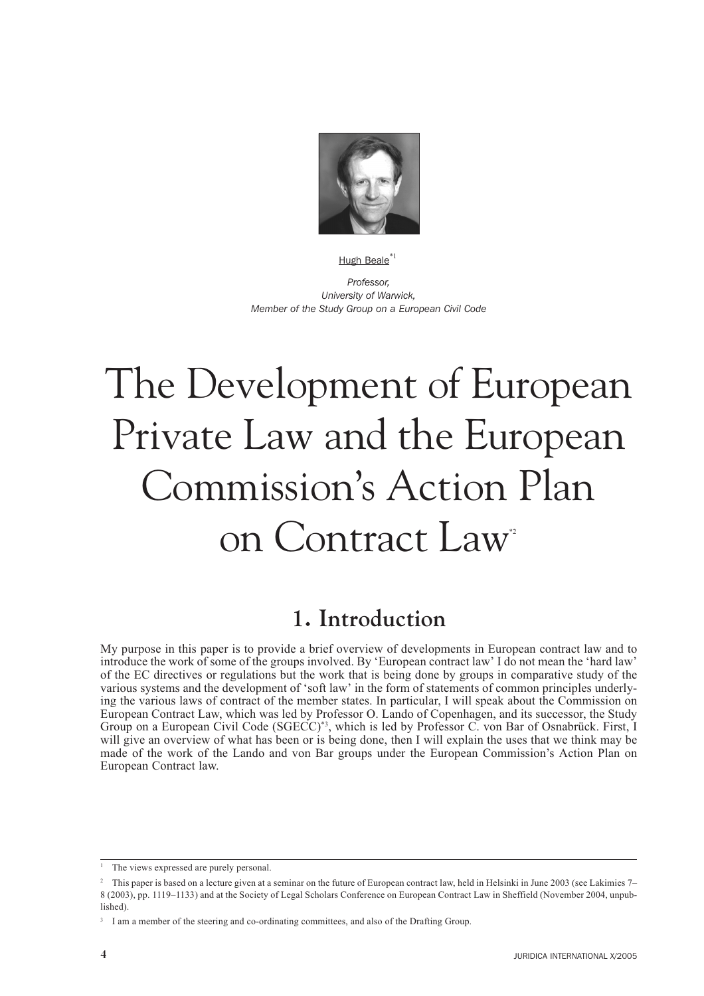

#### Hugh Beale<sup>\*1</sup>

Professor. University of Warwick, Member of the Study Group on a European Civil Code

# The Development of European Private Law and the European Commission's Action Plan on Contract Law<sup>®</sup>

### 1. Introduction

My purpose in this paper is to provide a brief overview of developments in European contract law and to introduce the work of some of the groups involved. By 'European contract law' I do not mean the 'hard law' of the EC directives or regulations but the work that is being done by groups in comparative study of the various systems and the development of 'soft law' in the form of statements of common principles underlying the various laws of contract of the member states. In particular, I will speak about the Commission on European Contract Law, which was led by Professor O. Lando of Copenhagen, and its successor, the Study Group on a European Civil Code (SGECC)<sup>\*3</sup>, which is led by Professor C. von Bar of Osnabrück. First, I will give an overview of what has been or is being done, then I will explain the uses that we think may be made of the work of the Lando and von Bar groups under the European Commission's Action Plan on European Contract law.

<sup>&</sup>lt;sup>1</sup> The views expressed are purely personal.

This paper is based on a lecture given at a seminar on the future of European contract law, held in Helsinki in June 2003 (see Lakimies 7-8 (2003), pp. 1119-1133) and at the Society of Legal Scholars Conference on European Contract Law in Sheffield (November 2004, unpublished).

<sup>&</sup>lt;sup>3</sup> I am a member of the steering and co-ordinating committees, and also of the Drafting Group.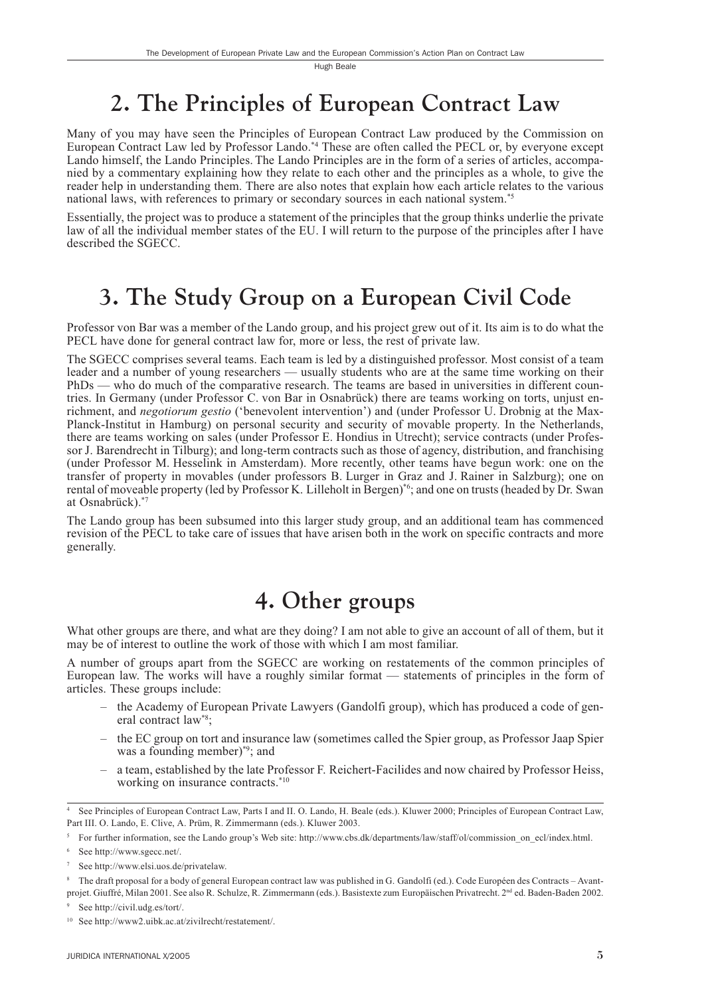### 2. The Principles of European Contract Law

Many of you may have seen the Principles of European Contract Law produced by the Commission on European Contract Law led by Professor Lando.<sup>\*4</sup> These are often called the PECL or, by everyone except Lando himself, the Lando Principles. The Lando Principles are in the form of a series of articles, accompanied by a commentary explaining how they relate to each other and the principles as a whole, to give the reader help in understanding them. There are also notes that explain how each article relates to the various national laws, with references to primary or secondary sources in each national system.<sup>\*5</sup>

Essentially, the project was to produce a statement of the principles that the group thinks underlie the private law of all the individual member states of the EU. I will return to the purpose of the principles after I have described the SGECC.

# 3. The Study Group on a European Civil Code

Professor von Bar was a member of the Lando group, and his project grew out of it. Its aim is to do what the PECL have done for general contract law for, more or less, the rest of private law.

The SGECC comprises several teams. Each team is led by a distinguished professor. Most consist of a team leader and a number of young researchers — usually students who are at the same time working on their PhDs — who do much of the comparative research. The teams are based in universities in different countries. In Germany (under Professor C, von Bar in Osnabrück) there are teams working on torts, unjust enrichment, and *negotiorum gestio* ('benevolent intervention') and (under Professor U. Drobnig at the Max-Planck-Institut in Hamburg) on personal security and security of movable property. In the Netherlands, there are teams working on sales (under Professor E. Hondius in Utrecht); service contracts (under Professor J. Barendrecht in Tilburg); and long-term contracts such as those of agency, distribution, and franchising (under Professor M. Hesselink in Amsterdam). More recently, other teams have begun work: one on the transfer of property in movables (under professors B. Lurger in Graz and J. Rainer in Salzburg); one on rental of moveable property (led by Professor K. Lilleholt in Bergen)\*6; and one on trusts (headed by Dr. Swan at Osnabrück).\*7

The Lando group has been subsumed into this larger study group, and an additional team has commenced revision of the PECL to take care of issues that have arisen both in the work on specific contracts and more generally.

### 4. Other groups

What other groups are there, and what are they doing? I am not able to give an account of all of them, but it may be of interest to outline the work of those with which I am most familiar.

A number of groups apart from the SGECC are working on restatements of the common principles of European law. The works will have a roughly similar format — statements of principles in the form of articles. These groups include:

- $-$  the Academy of European Private Lawyers (Gandolfi group), which has produced a code of general contract law\*8:
- the EC group on tort and insurance law (sometimes called the Spier group, as Professor Jaap Spier was a founding member)<sup>\*9</sup>; and
- a team, established by the late Professor F. Reichert-Facilides and now chaired by Professor Heiss, working on insurance contracts.\*10

<sup>8</sup> The draft proposal for a body of general European contract law was published in G. Gandolfi (ed.). Code Européen des Contracts - Avantprojet. Giuffré, Milan 2001. See also R. Schulze, R. Zimmermann (eds.). Basistexte zum Europäischen Privatrecht. 2<sup>nd</sup> ed. Baden-Baden 2002.

See Principles of European Contract Law, Parts I and II. O. Lando, H. Beale (eds.). Kluwer 2000; Principles of European Contract Law, Part III. O. Lando, E. Clive, A. Prüm, R. Zimmermann (eds.). Kluwer 2003.

For further information, see the Lando group's Web site: http://www.cbs.dk/departments/law/staff/ol/commission on ecl/index.html.

<sup>&</sup>lt;sup>6</sup> See http://www.sgecc.net/.

See http://www.elsi.uos.de/privatelaw.

See http://civil.udg.es/tort/.

<sup>&</sup>lt;sup>10</sup> See http://www2.uibk.ac.at/zivilrecht/restatement/.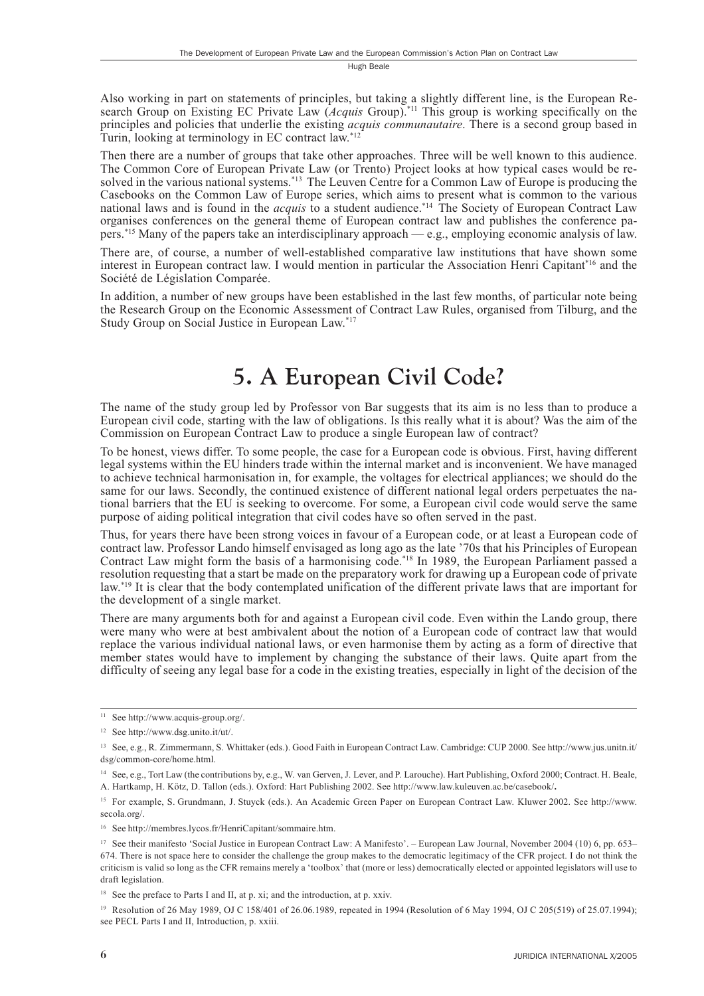Also working in part on statements of principles, but taking a slightly different line, is the European Research Group on Existing EC Private Law (*Acquis* Group).<sup>\*11</sup> This group is working specifically on the principles and policies that underlie the existing *acquis communautaire*. There is a second group based in Turin, looking at terminology in EC contract law.\*12

Then there are a number of groups that take other approaches. Three will be well known to this audience. The Common Core of European Private Law (or Trento) Project looks at how typical cases would be resolved in the various national systems.<sup>\*13</sup> The Leuven Centre for a Common Law of Europe is producing the Casebooks on the Common Law of Europe series, which aims to present what is common to the various<br>national laws and is found in the *acquis* to a student audience.<sup>\*14</sup> The Society of European Contract Law organises conferences on the general theme of European contract law and publishes the conference papers.<sup>\*15</sup> Many of the papers take an interdisciplinary approach — e.g., employing economic analysis of law.

There are, of course, a number of well-established comparative law institutions that have shown some interest in European contract law. I would mention in particular the Association Henri Capitant<sup>\*16</sup> and the Société de Législation Comparée.

In addition, a number of new groups have been established in the last few months, of particular note being the Research Group on the Economic Assessment of Contract Law Rules, organised from Tilburg, and the Study Group on Social Justice in European Law.\*17

#### 5. A European Civil Code?

The name of the study group led by Professor von Bar suggests that its aim is no less than to produce a European civil code, starting with the law of obligations. Is this really what it is about? Was the aim of the Commission on European Contract Law to produce a single European law of contract?

To be honest, views differ. To some people, the case for a European code is obvious. First, having different legal systems within the EU hinders trade within the internal market and is inconvenient. We have managed to achieve technical harmonisation in, for example, the voltages for electrical appliances; we should do the same for our laws. Secondly, the continued existence of different national legal orders perpetuates the national barriers that the EU is seeking to overcome. For some, a European civil code would serve the same purpose of aiding political integration that civil codes have so often served in the past.

Thus, for years there have been strong voices in favour of a European code, or at least a European code of contract law. Professor Lando himself envisaged as long ago as the late '70s that his Principles of European Contract Law might form the basis of a harmonising code.\*18 In 1989, the European Parliament passed a resolution requesting that a start be made on the preparatory work for drawing up a European code of private law.<sup>\*19</sup> It is clear that the body contemplated unification of the different private laws that are important for the development of a single market.

There are many arguments both for and against a European civil code. Even within the Lando group, there were many who were at best ambivalent about the notion of a European code of contract law that would replace the various individual national laws, or even harmonise them by acting as a form of directive that member states would have to implement by changing the substance of their laws. Quite apart from the difficulty of seeing any legal base for a code in the existing treaties, especially in light of the decision of the

<sup>&</sup>lt;sup>11</sup> See http://www.acquis-group.org/.

<sup>&</sup>lt;sup>12</sup> See http://www.dsg.unito.it/ut/.

<sup>&</sup>lt;sup>13</sup> See, e.g., R. Zimmermann, S. Whittaker (eds.). Good Faith in European Contract Law. Cambridge: CUP 2000. See http://www.jus.unitn.it/ dsg/common-core/home.html.

<sup>&</sup>lt;sup>14</sup> See, e.g., Tort Law (the contributions by, e.g., W. van Gerven, J. Lever, and P. Larouche). Hart Publishing, Oxford 2000; Contract. H. Beale, A. Hartkamp, H. Kötz, D. Tallon (eds.). Oxford: Hart Publishing 2002. See http://www.law.kuleuven.ac.be/casebook/.

<sup>&</sup>lt;sup>15</sup> For example, S. Grundmann, J. Stuyck (eds.). An Academic Green Paper on European Contract Law. Kluwer 2002. See http://www. secola.org/.

<sup>&</sup>lt;sup>16</sup> See http://membres.lycos.fr/HenriCapitant/sommaire.htm.

<sup>&</sup>lt;sup>17</sup> See their manifesto 'Social Justice in European Contract Law: A Manifesto'. - European Law Journal, November 2004 (10) 6, pp. 653-674. There is not space here to consider the challenge the group makes to the democratic legitimacy of the CFR project. I do not think the criticism is valid so long as the CFR remains merely a 'toolbox' that (more or less) democratically elected or appointed legislators will use to draft legislation.

<sup>&</sup>lt;sup>18</sup> See the preface to Parts I and II, at p. xi; and the introduction, at p. xxiv.

<sup>&</sup>lt;sup>19</sup> Resolution of 26 May 1989, OJ C 158/401 of 26.06.1989, repeated in 1994 (Resolution of 6 May 1994, OJ C 205(519) of 25.07.1994); see PECL Parts I and II, Introduction, p. xxiii.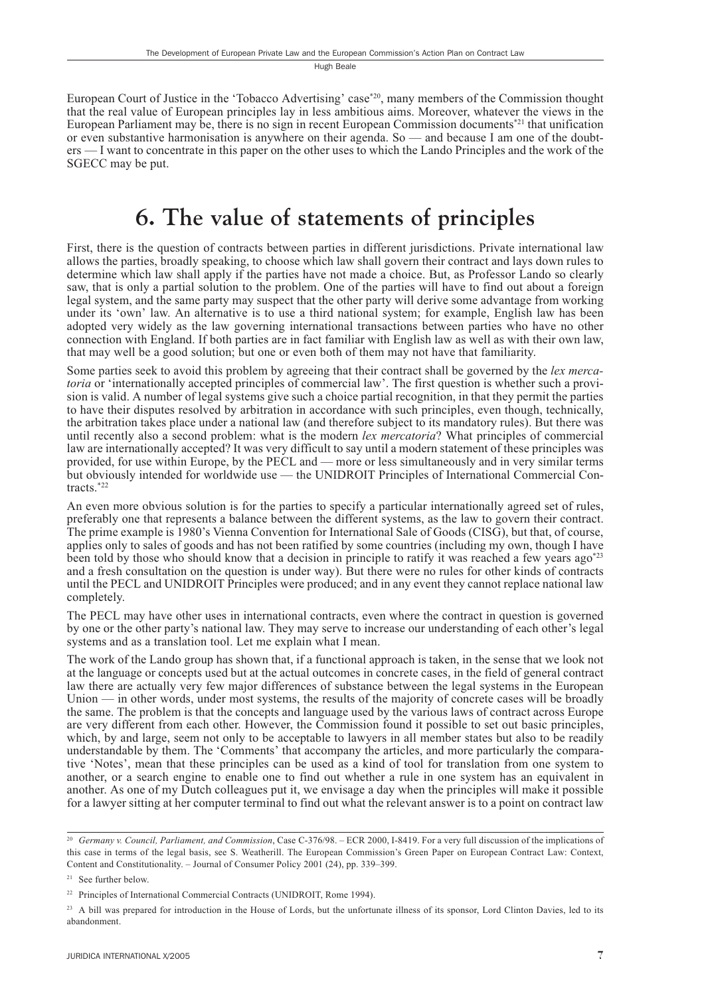European Court of Justice in the 'Tobacco Advertising' case\*20, many members of the Commission thought that the real value of European principles lay in less ambitious aims. Moreover, whatever the views in the European Parliament may be, there is no sign in recent European Commission documents<sup>\*21</sup> that unification or even substantive harmonisation is anywhere on their agenda. So — and because I am one of the doubters — I want to concentrate in this paper on the other uses to which the Lando Principles and the work of the SGECC may be put.

#### 6. The value of statements of principles

First, there is the question of contracts between parties in different jurisdictions. Private international law allows the parties, broadly speaking, to choose which law shall govern their contract and lays down rules to determine which law shall apply if the parties have not made a choice. But, as Professor Lando so clearly saw, that is only a partial solution to the problem. One of the parties will have to find out about a foreign legal system, and the same party may suspect that the other party will derive some advantage from working under its 'own' law. An alternative is to use a third national system; for example, English law has been adopted very widely as the law governing international transactions between parties who have no other connection with England. If both parties are in fact familiar with English law as well as with their own law, that may well be a good solution; but one or even both of them may not have that familiarity.

Some parties seek to avoid this problem by agreeing that their contract shall be governed by the *lex merca*toria or 'internationally accepted principles of commercial law'. The first question is whether such a provision is valid. A number of legal systems give such a choice partial recognition, in that they permit the parties to have their disputes resolved by arbitration in accordance with such principles, even though, technically, the arbitration takes place under a national law (and therefore subject to its mandatory rules). But there was until recently also a second problem: what is the modern lex mercatoria? What principles of commercial law are internationally accepted? It was very difficult to say until a modern statement of these principles was provided, for use within Europe, by the PECL and — more or less simultaneously and in very similar terms but obviously intended for worldwide use — the UNIDROIT Principles of International Commercial Contracts. $*^{22}$ 

An even more obvious solution is for the parties to specify a particular internationally agreed set of rules, preferably one that represents a balance between the different systems, as the law to govern their contract. The prime example is 1980's Vienna Convention for International Sale of Goods (CISG), but that, of course, applies only to sales of goods and has not been ratified by some countries (including my own, though I have been told by those who should know that a decision in principle to ratify it was reached a few years ago<sup>\*23</sup> and a fresh consultation on the question is under way). But there were no rules for other kinds of contracts until the PECL and UNIDROIT Principles were produced; and in any event they cannot replace national law completely.

The PECL may have other uses in international contracts, even where the contract in question is governed by one or the other party's national law. They may serve to increase our understanding of each other's legal systems and as a translation tool. Let me explain what I mean.

The work of the Lando group has shown that, if a functional approach is taken, in the sense that we look not at the language or concepts used but at the actual outcomes in concrete cases, in the field of general contract law there are actually very few major differences of substance between the legal systems in the European Union - in other words, under most systems, the results of the majority of concrete cases will be broadly the same. The problem is that the concepts and language used by the various laws of contract across Europe are very different from each other. However, the Commission found it possible to set out basic principles, which, by and large, seem not only to be acceptable to lawyers in all member states but also to be readily understandable by them. The 'Comments' that accompany the articles, and more particularly the comparative 'Notes', mean that these principles can be used as a kind of tool for translation from one system to another, or a search engine to enable one to find out whether a rule in one system has an equivalent in another. As one of my Dutch colleagues put it, we envisage a day when the principles will make it possible for a lawyer sitting at her computer terminal to find out what the relevant answer is to a point on contract law

<sup>&</sup>lt;sup>20</sup> Germany v. Council, Parliament, and Commission, Case C-376/98. - ECR 2000, I-8419. For a very full discussion of the implications of this case in terms of the legal basis, see S. Weatherill. The European Commission's Green Paper on European Contract Law: Context, Content and Constitutionality. – Journal of Consumer Policy 2001 (24), pp. 339–399.

<sup>&</sup>lt;sup>21</sup> See further below.

<sup>&</sup>lt;sup>22</sup> Principles of International Commercial Contracts (UNIDROIT, Rome 1994).

<sup>&</sup>lt;sup>23</sup> A bill was prepared for introduction in the House of Lords, but the unfortunate illness of its sponsor, Lord Clinton Davies, led to its abandonment.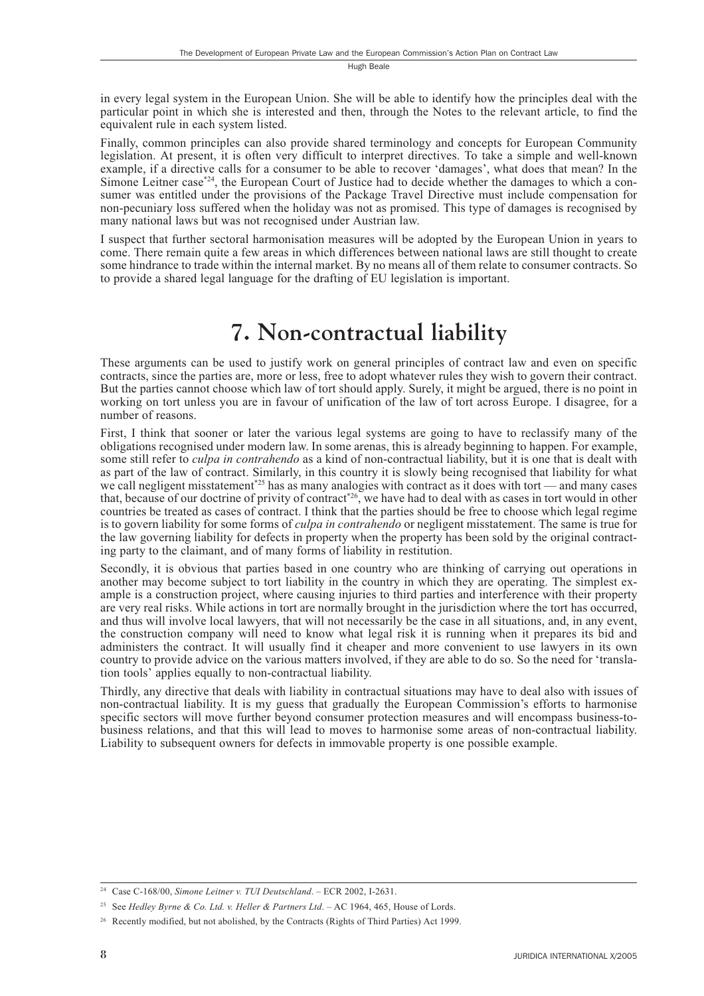in every legal system in the European Union. She will be able to identify how the principles deal with the particular point in which she is interested and then, through the Notes to the relevant article, to find the equivalent rule in each system listed.

Finally, common principles can also provide shared terminology and concepts for European Community legislation. At present, it is often very difficult to interpret directives. To take a simple and well-known example, if a directive calls for a consumer to be able to recover 'damages', what does that mean? In the Simone Leitner case\*24, the European Court of Justice had to decide whether the damages to which a consumer was entitled under the provisions of the Package Travel Directive must include compensation for non-pecuniary loss suffered when the holiday was not as promised. This type of damages is recognised by many national laws but was not recognised under Austrian law.

I suspect that further sectoral harmonisation measures will be adopted by the European Union in years to come. There remain quite a few areas in which differences between national laws are still thought to create some hindrance to trade within the internal market. By no means all of them relate to consumer contracts. So to provide a shared legal language for the drafting of EU legislation is important.

# 7. Non-contractual liability

These arguments can be used to justify work on general principles of contract law and even on specific contracts, since the parties are, more or less, free to adopt whatever rules they wish to govern their contract. But the parties cannot choose which law of tort should apply. Surely, it might be argued, there is no point in working on tort unless you are in favour of unification of the law of tort across Europe. I disagree, for a number of reasons.

First, I think that sooner or later the various legal systems are going to have to reclassify many of the obligations recognised under modern law. In some arenas, this is already beginning to happen. For example, some still refer to *culpa in contrahendo* as a kind of non-contractual liability, but it is one that is dealt with as part of the law of contract. Similarly, in this country it is slowly being recognised that liability for what we call negligent misstatement<sup>\*25</sup> has as many analogies with contract as it does with tort—and many cases<br>that, because of our doctrine of privity of contract<sup>\*26</sup>, we have had to deal with as cases in tort would in othe countries be treated as cases of contract. I think that the parties should be free to choose which legal regime is to govern liability for some forms of *culpa in contrahendo* or negligent misstatement. The same is true for the law governing liability for defects in property when the property has been sold by the original contracting party to the claimant, and of many forms of liability in restitution.

Secondly, it is obvious that parties based in one country who are thinking of carrying out operations in another may become subject to tort liability in the country in which they are operating. The simplest example is a construction project, where causing injuries to third parties and interference with their property are very real risks. While actions in tort are normally brought in the jurisdiction where the tort has occurred, and thus will involve local lawyers, that will not necessarily be the case in all situations, and, in any event, the construction company will need to know what legal risk it is running when it prepares its bid and administers the contract. It will usually find it cheaper and more convenient to use lawyers in its own country to provide advice on the various matters involved, if they are able to do so. So the need for 'translation tools' applies equally to non-contractual liability.

Thirdly, any directive that deals with liability in contractual situations may have to deal also with issues of non-contractual liability. It is my guess that gradually the European Commission's efforts to harmonise specific sectors will move further beyond consumer protection measures and will encompass business-tobusiness relations, and that this will lead to moves to harmonise some areas of non-contractual liability. Liability to subsequent owners for defects in immovable property is one possible example.

<sup>&</sup>lt;sup>24</sup> Case C-168/00, Simone Leitner v. TUI Deutschland. - ECR 2002, I-2631.

<sup>&</sup>lt;sup>25</sup> See Hedley Byrne & Co. Ltd. v. Heller & Partners Ltd. - AC 1964, 465, House of Lords.

<sup>&</sup>lt;sup>26</sup> Recently modified, but not abolished, by the Contracts (Rights of Third Parties) Act 1999.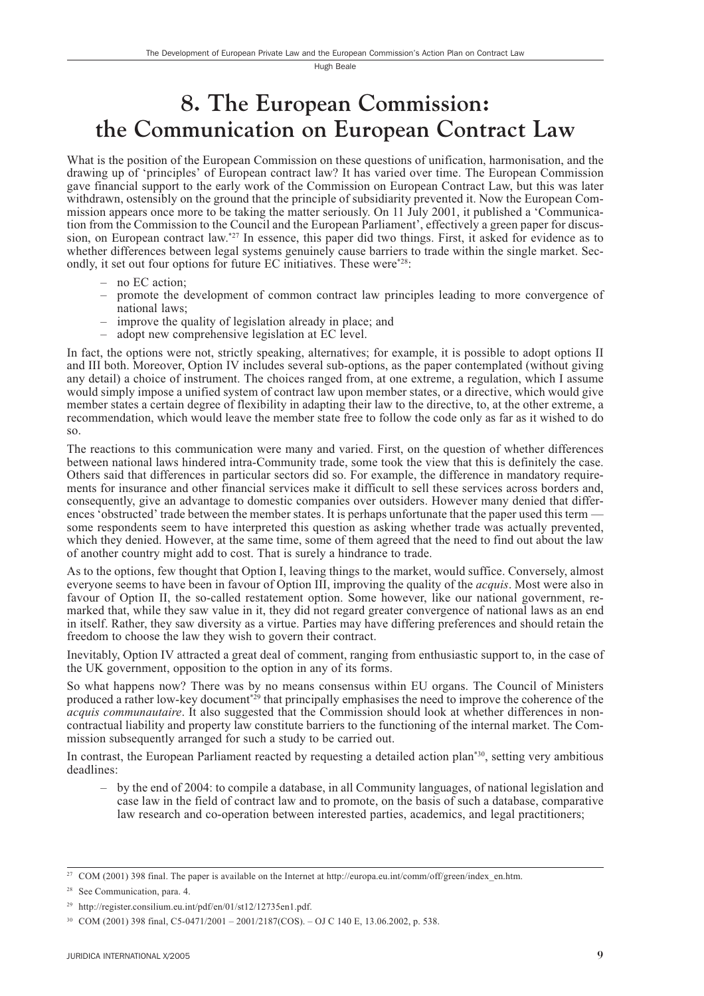#### 8. The European Commission: the Communication on European Contract Law

What is the position of the European Commission on these questions of unification, harmonisation, and the drawing up of 'principles' of European contract law? It has varied over time. The European Commission gave financial support to the early work of the Commission on European Contract Law, but this was later withdrawn, ostensibly on the ground that the principle of subsidiarity prevented it. Now the European Commission appears once more to be taking the matter seriously. On 11 July 2001, it published a 'Communication from the Commission to the Council and the European Parliament', effectively a green paper for discussion, on European contract law.<sup>\*27</sup> In essence, this paper did two things. First, it asked for evidence as to whether differences between legal systems genuinely cause barriers to trade within the single market. Secondly, it set out four options for future EC initiatives. These were<sup>\*28</sup>:

- $-$  no EC action:
- promote the development of common contract law principles leading to more convergence of national laws:
- improve the quality of legislation already in place; and
- adopt new comprehensive legislation at EC level.

In fact, the options were not, strictly speaking, alternatives; for example, it is possible to adopt options II and III both. Moreover, Option IV includes several sub-options, as the paper contemplated (without giving any detail) a choice of instrument. The choices ranged from, at one extreme, a regulation, which I assume would simply impose a unified system of contract law upon member states, or a directive, which would give member states a certain degree of flexibility in adapting their law to the directive, to, at the other extreme, a recommendation, which would leave the member state free to follow the code only as far as it wished to do  $SO<sub>2</sub>$ 

The reactions to this communication were many and varied. First, on the question of whether differences between national laws hindered intra-Community trade, some took the view that this is definitely the case. Others said that differences in particular sectors did so. For example, the difference in mandatory requirements for insurance and other financial services make it difficult to sell these services across borders and, consequently, give an advantage to domestic companies over outsiders. However many denied that differences 'obstructed' trade between the member states. It is perhaps unfortunate that the paper used this term – some respondents seem to have interpreted this question as asking whether trade was actually prevented, which they denied. However, at the same time, some of them agreed that the need to find out about the law of another country might add to cost. That is surely a hindrance to trade.

As to the options, few thought that Option I, leaving things to the market, would suffice. Conversely, almost everyone seems to have been in favour of Option III, improving the quality of the *acquis*. Most were also in favour of Option II, the so-called restatement option. Some however, like our national government, remarked that, while they saw value in it, they did not regard greater convergence of national laws as an end in itself. Rather, they saw diversity as a virtue. Parties may have differing preferences and should retain the freedom to choose the law they wish to govern their contract.

Inevitably, Option IV attracted a great deal of comment, ranging from enthusiastic support to, in the case of the UK government, opposition to the option in any of its forms.

So what happens now? There was by no means consensus within EU organs. The Council of Ministers produced a rather low-key document<sup>\*29</sup> that principally emphasises the need to improve the coherence of the *acquis communautaire*. It also suggested that the Commission should look at whether differences in noncontractual liability and property law constitute barriers to the functioning of the internal market. The Commission subsequently arranged for such a study to be carried out.

In contrast, the European Parliament reacted by requesting a detailed action plan<sup>\*30</sup>, setting very ambitious deadlines:

 $-$  by the end of 2004: to compile a database, in all Community languages, of national legislation and case law in the field of contract law and to promote, on the basis of such a database, comparative law research and co-operation between interested parties, academics, and legal practitioners;

<sup>&</sup>lt;sup>27</sup> COM (2001) 398 final. The paper is available on the Internet at http://europa.eu.int/comm/off/green/index en.htm.

<sup>&</sup>lt;sup>28</sup> See Communication, para. 4.

<sup>&</sup>lt;sup>29</sup> http://register.consilium.eu.int/pdf/en/01/st12/12735en1.pdf.

<sup>&</sup>lt;sup>30</sup> COM (2001) 398 final, C5-0471/2001 - 2001/2187(COS). - OJ C 140 E, 13.06.2002, p. 538.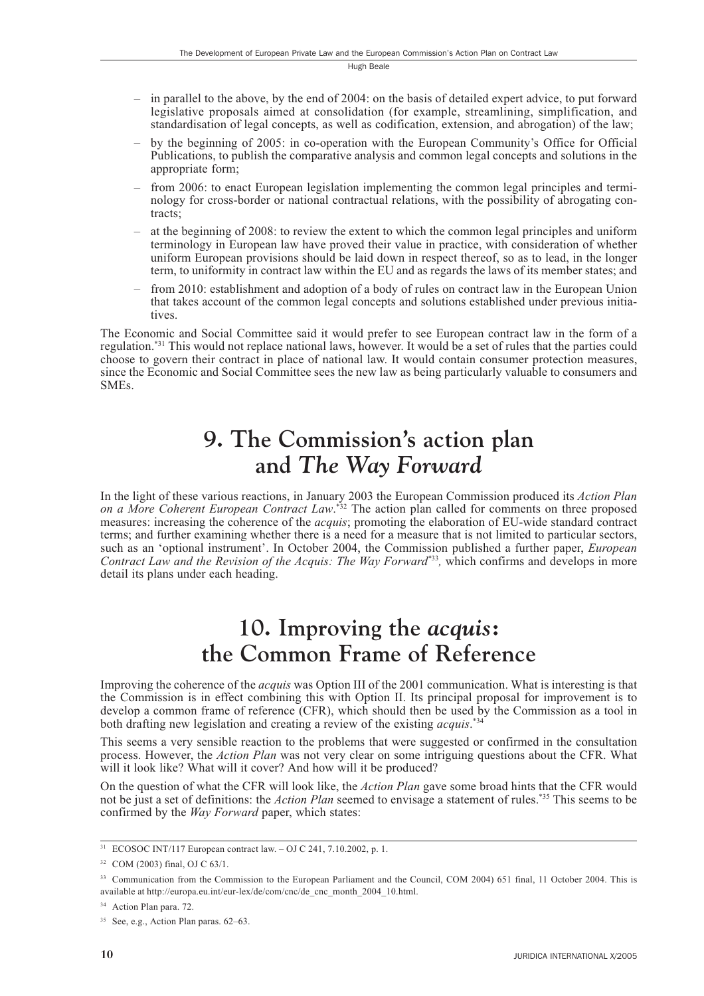- $-$  in parallel to the above, by the end of 2004; on the basis of detailed expert advice, to put forward legislative proposals aimed at consolidation (for example, streamlining, simplification, and standardisation of legal concepts, as well as codification, extension, and abrogation) of the law;
- by the beginning of 2005: in co-operation with the European Community's Office for Official Publications, to publish the comparative analysis and common legal concepts and solutions in the appropriate form;
- from 2006: to enact European legislation implementing the common legal principles and terminology for cross-border or national contractual relations, with the possibility of abrogating contracts:
- at the beginning of 2008: to review the extent to which the common legal principles and uniform terminology in European law have proved their value in practice, with consideration of whether uniform European provisions should be laid down in respect thereof, so as to lead, in the longer term, to uniformity in contract law within the EU and as regards the laws of its member states; and
- $-$  from 2010; establishment and adoption of a body of rules on contract law in the European Union that takes account of the common legal concepts and solutions established under previous initiatives

The Economic and Social Committee said it would prefer to see European contract law in the form of a regulation.<sup>\*31</sup> This would not replace national laws, however. It would be a set of rules that the parties could choose to govern their contract in place of national law. It would contain consumer protection measures, since the Economic and Social Committee sees the new law as being particularly valuable to consumers and SME<sub>s</sub>.

#### 9. The Commission's action plan and The Way Forward

In the light of these various reactions, in January 2003 the European Commission produced its Action Plan on a More Coherent European Contract Law.<sup>\*32</sup> The action plan called for comments on three proposed measures: increasing the coherence of the *acquis*; promoting the elaboration of EU-wide standard contract terms; and further examining whether there is a need for a measure that is not limited to particular sectors, such as an 'optional instrument'. In October 2004, the Commission published a further paper, *European* Contract Law and the Revision of the Acquis: The Way Forward<sup>\*33</sup>, which confirms and develops in more detail its plans under each heading.

#### 10. Improving the *acquis*: the Common Frame of Reference

Improving the coherence of the *acquis* was Option III of the 2001 communication. What is interesting is that the Commission is in effect combining this with Option II. Its principal proposal for improvement is to develop a common frame of reference (CFR), which should then be used by the Commission as a tool in both drafting new legislation and creating a review of the existing *acquis*.<sup>\*34</sup>

This seems a very sensible reaction to the problems that were suggested or confirmed in the consultation process. However, the Action Plan was not very clear on some intriguing questions about the CFR. What will it look like? What will it cover? And how will it be produced?

On the question of what the CFR will look like, the *Action Plan* gave some broad hints that the CFR would not be just a set of definitions: the *Action Plan* seemed to envisage a statement of rules.<sup>\*35</sup> This seems to be confirmed by the *Way Forward* paper, which states:

 $\frac{31}{11}$  ECOSOC INT/117 European contract law. - OJ C 241, 7.10.2002, p. 1.

 $32$  COM (2003) final, OJ C 63/1.

<sup>&</sup>lt;sup>33</sup> Communication from the Commission to the European Parliament and the Council, COM 2004) 651 final, 11 October 2004. This is available at http://europa.eu.int/eur-lex/de/com/cnc/de\_cnc\_month\_2004\_10.html.

<sup>&</sup>lt;sup>34</sup> Action Plan para. 72.

<sup>&</sup>lt;sup>35</sup> See, e.g., Action Plan paras. 62–63.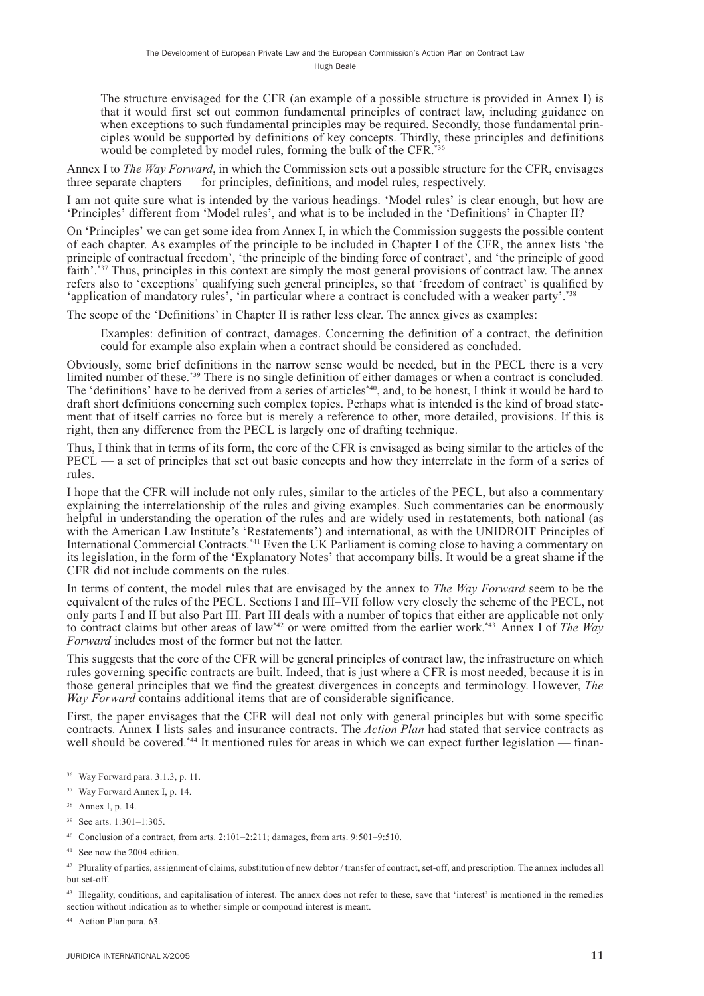The structure envisaged for the CFR (an example of a possible structure is provided in Annex I) is that it would first set out common fundamental principles of contract law, including guidance on when exceptions to such fundamental principles may be required. Secondly, those fundamental principles would be supported by definitions of key concepts. Thirdly, these principles and definitions would be completed by model rules, forming the bulk of the CFR.<sup>\*36</sup>

Annex I to *The Way Forward*, in which the Commission sets out a possible structure for the CFR, envisages three separate chapters — for principles, definitions, and model rules, respectively.

I am not quite sure what is intended by the various headings. 'Model rules' is clear enough, but how are 'Principles' different from 'Model rules', and what is to be included in the 'Definitions' in Chapter II?

On 'Principles' we can get some idea from Annex I, in which the Commission suggests the possible content of each chapter. As examples of the principle to be included in Chapter I of the CFR, the annex lists 'the principle of contractual freedom', 'the principle of the binding force of contract', and 'the principle of good faith'.<sup>\*37</sup> Thus, principles in this context are simply the most general provisions of contract law. The annex refers also to 'exceptions' qualifying such general principles, so that 'freedom of contract' is qualified by 'application of mandatory rules', 'in particular where a contract is concluded with a weaker party'.<sup>\*38</sup>

The scope of the 'Definitions' in Chapter II is rather less clear. The annex gives as examples:

Examples: definition of contract, damages. Concerning the definition of a contract, the definition could for example also explain when a contract should be considered as concluded.

Obviously, some brief definitions in the narrow sense would be needed, but in the PECL there is a very limited number of these.<sup>\*39</sup> There is no single definition of either damages or when a contract is concluded. The 'definitions' have to be derived from a series of articles<sup>\*40</sup>, and, to be honest, I think it would be hard to draft short definitions concerning such complex topics. Perhaps what is intended is the kind of broad statement that of itself carries no force but is merely a reference to other, more detailed, provisions. If this is right, then any difference from the PECL is largely one of drafting technique.

Thus. I think that in terms of its form, the core of the CFR is envisaged as being similar to the articles of the  $PECL$  — a set of principles that set out basic concepts and how they interrelate in the form of a series of rules.

I hope that the CFR will include not only rules, similar to the articles of the PECL, but also a commentary explaining the interrelationship of the rules and giving examples. Such commentaries can be enormously helpful in understanding the operation of the rules and are widely used in restatements, both national (as with the American Law Institute's 'Restatements') and international, as with the UNIDROIT Principles of International Commercial Contracts.<sup>\*41</sup> Even the UK Parliament is coming close to having a commentary on its legislation, in the form of the 'Explanatory Notes' that accompany bills. It would be a great shame if the CFR did not include comments on the rules.

In terms of content, the model rules that are envisaged by the annex to *The Way Forward* seem to be the equivalent of the rules of the PECL. Sections I and III-VII follow very closely the scheme of the PECL, not only parts I and II but also Part III. Part III deals with a number of topics that either are applicable not only to contract claims but other areas of law\*42 or were omitted from the earlier work.\*43 Annex I of The Way Forward includes most of the former but not the latter.

This suggests that the core of the CFR will be general principles of contract law, the infrastructure on which rules governing specific contracts are built. Indeed, that is just where a CFR is most needed, because it is in those general principles that we find the greatest divergences in concepts and terminology. However, The Way Forward contains additional items that are of considerable significance.

First, the paper envisages that the CFR will deal not only with general principles but with some specific contracts. Annex I lists sales and insurance contracts. The Action Plan had stated that service contracts as well should be covered.<sup>\*44</sup> It mentioned rules for areas in which we can expect further legislation — finan-

<sup>43</sup> Illegality, conditions, and capitalisation of interest. The annex does not refer to these, save that 'interest' is mentioned in the remedies section without indication as to whether simple or compound interest is meant.

<sup>44</sup> Action Plan para. 63.

<sup>&</sup>lt;sup>36</sup> Way Forward para. 3.1.3, p. 11.

<sup>&</sup>lt;sup>37</sup> Way Forward Annex I, p. 14.

<sup>&</sup>lt;sup>38</sup> Annex I, p. 14.

 $39$  See arts. 1:301-1:305.

<sup>&</sup>lt;sup>40</sup> Conclusion of a contract, from arts. 2:101-2:211; damages, from arts. 9:501-9:510.

<sup>&</sup>lt;sup>41</sup> See now the 2004 edition.

<sup>&</sup>lt;sup>42</sup> Plurality of parties, assignment of claims, substitution of new debtor / transfer of contract, set-off, and prescription. The annex includes all but set-off.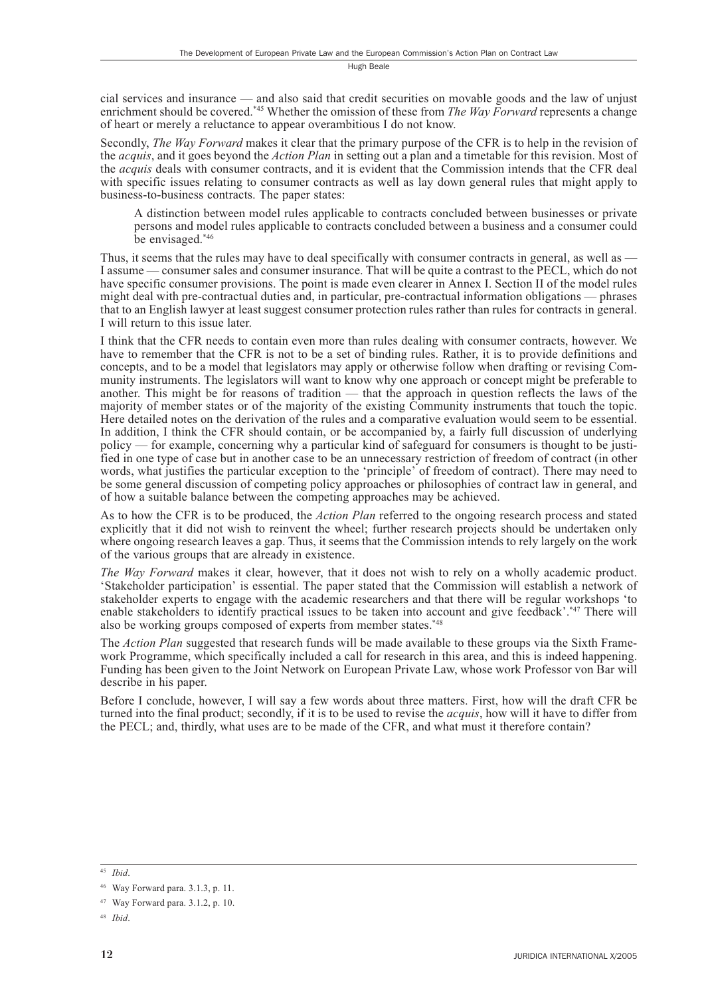cial services and insurance — and also said that credit securities on movable goods and the law of unjust enrichment should be covered.<sup>\*45</sup> Whether the omission of these from *The Way Forward* represents a change of heart or merely a reluctance to appear overambitious I do not know.

Secondly, The Way Forward makes it clear that the primary purpose of the CFR is to help in the revision of the *acquis*, and it goes beyond the *Action Plan* in setting out a plan and a timetable for this revision. Most of the *acquis* deals with consumer contracts, and it is evident that the Commission intends that the CFR deal with specific issues relating to consumer contracts as well as lay down general rules that might apply to business-to-business contracts. The paper states:

A distinction between model rules applicable to contracts concluded between businesses or private persons and model rules applicable to contracts concluded between a business and a consumer could be envisaged.\*46

Thus, it seems that the rules may have to deal specifically with consumer contracts in general, as well as — I assume — consumer sales and consumer insurance. That will be quite a contrast to the PECL, which do not have specific consumer provisions. The point is made even clearer in Annex I. Section II of the model rules might deal with pre-contractual duties and, in particular, pre-contractual information obligations — phrases that to an English lawyer at least suggest consumer protection rules rather than rules for contracts in general. I will return to this issue later.

I think that the CFR needs to contain even more than rules dealing with consumer contracts, however. We have to remember that the CFR is not to be a set of binding rules. Rather, it is to provide definitions and concepts, and to be a model that legislators may apply or otherwise follow when drafting or revising Community instruments. The legislators will want to know why one approach or concept might be preferable to another. This might be for reasons of tradition — that the approach in question reflects the laws of the majority of member states or of the majority of the existing Community instruments that touch the topic. Here detailed notes on the derivation of the rules and a comparative evaluation would seem to be essential. In addition, I think the CFR should contain, or be accompanied by, a fairly full discussion of underlying policy — for example, concerning why a particular kind of safeguard for consumers is thought to be justified in one type of case but in another case to be an unnecessary restriction of freedom of contract (in other words, what justifies the particular exception to the 'principle' of freedom of contract). There may need to be some general discussion of competing policy approaches or philosophies of contract law in general, and of how a suitable balance between the competing approaches may be achieved.

As to how the CFR is to be produced, the *Action Plan* referred to the ongoing research process and stated explicitly that it did not wish to reinvent the wheel; further research projects should be undertaken only where ongoing research leaves a gap. Thus, it seems that the Commission intends to rely largely on the work of the various groups that are already in existence.

The Way Forward makes it clear, however, that it does not wish to rely on a wholly academic product. 'Stakeholder participation' is essential. The paper stated that the Commission will establish a network of stakeholder experts to engage with the academic researchers and that there will be regular workshops 'to enable stakeholders to identify practical issues to be taken into account and give feedback'.\*47 There will also be working groups composed of experts from member states.\*48

The Action Plan suggested that research funds will be made available to these groups via the Sixth Framework Programme, which specifically included a call for research in this area, and this is indeed happening. Funding has been given to the Joint Network on European Private Law, whose work Professor von Bar will describe in his paper.

Before I conclude, however, I will say a few words about three matters. First, how will the draft CFR be turned into the final product; secondly, if it is to be used to revise the *acquis*, how will it have to differ from the PECL; and, thirdly, what uses are to be made of the CFR, and what must it therefore contain?

 $45$  Ibid.

<sup>&</sup>lt;sup>46</sup> Way Forward para. 3.1.3, p. 11.

 $47$  Way Forward para, 3.1.2, p. 10.

 $48$  *Ihid*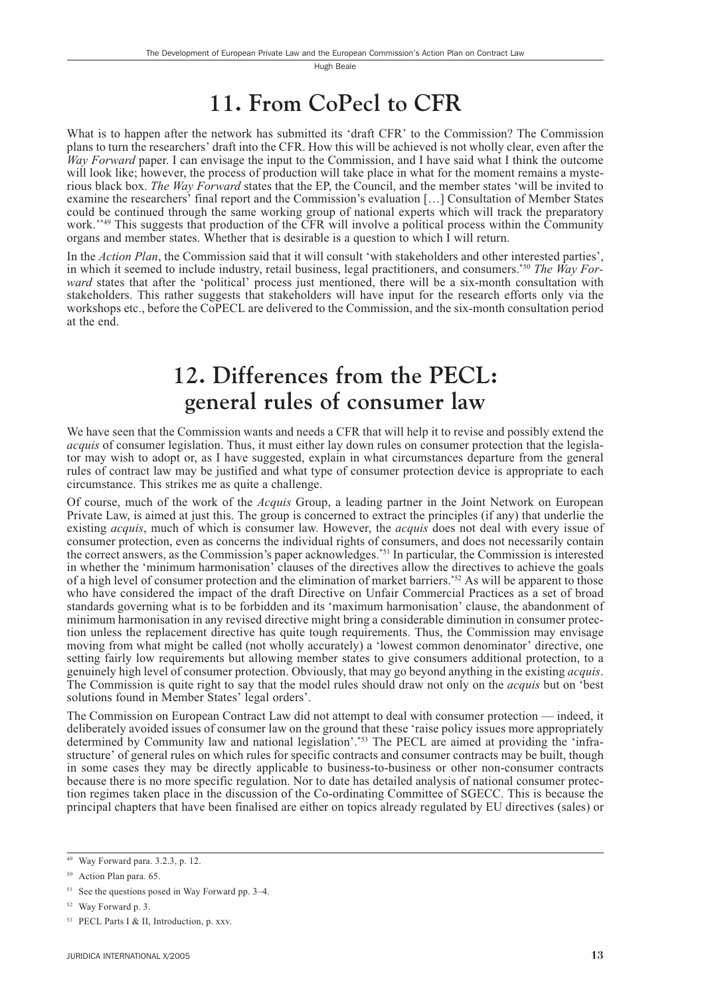### 11. From CoPecl to CFR

What is to happen after the network has submitted its 'draft CFR' to the Commission? The Commission plans to turn the researchers' draft into the CFR. How this will be achieved is not wholly clear, even after the Way Forward paper. I can envisage the input to the Commission, and I have said what I think the outcome will look like; however, the process of production will take place in what for the moment remains a mysterious black box. The Way Forward states that the EP, the Council, and the member states 'will be invited to examine the researchers' final report and the Commission's evaluation [...] Consultation of Member States could be continued through the same working group of national experts which will track the preparatory work."<sup>49</sup> This suggests that production of the CFR will involve a political process within the Community organs and member states. Whether that is desirable is a question to which I will return.

In the Action Plan, the Commission said that it will consult 'with stakeholders and other interested parties', in which it seemed to include industry, retail business, legal practitioners, and consumers.<sup>\*50</sup> The Way For*ward* states that after the 'political' process just mentioned, there will be a six-month consultation with stakeholders. This rather suggests that stakeholders will have input for the research efforts only via the workshops etc., before the CoPECL are delivered to the Commission, and the six-month consultation period at the end.

#### 12. Differences from the PECL: general rules of consumer law

We have seen that the Commission wants and needs a CFR that will help it to revise and possibly extend the *acquis* of consumer legislation. Thus, it must either lay down rules on consumer protection that the legislator may wish to adopt or, as I have suggested, explain in what circumstances departure from the general rules of contract law may be justified and what type of consumer protection device is appropriate to each circumstance. This strikes me as quite a challenge.

Of course, much of the work of the *Acquis* Group, a leading partner in the Joint Network on European Private Law, is aimed at just this. The group is concerned to extract the principles (if any) that underlie the existing *acquis*, much of which is consumer law. However, the *acquis* does not deal with every issue of consumer protection, even as concerns the individual rights of consumers, and does not necessarily contain the correct answers, as the Commission's paper acknowledges.<sup>\*51</sup> In particular, the Commission is interested in whether the 'minimum harmonisation' clauses of the directives allow the directives to achieve the goals of a high level of consumer protection and the elimination of market barriers.<sup>\*52</sup> As will be apparent to those who have considered the impact of the draft Directive on Unfair Commercial Practices as a set of broad standards governing what is to be forbidden and its 'maximum harmonisation' clause, the abandonment of minimum harmonisation in any revised directive might bring a considerable diminution in consumer protection unless the replacement directive has quite tough requirements. Thus, the Commission may envisage moving from what might be called (not wholly accurately) a 'lowest common denominator' directive, one setting fairly low requirements but allowing member states to give consumers additional protection, to a genuinely high level of consumer protection. Obviously, that may go beyond anything in the existing *acquis*. The Commission is quite right to say that the model rules should draw not only on the *acquis* but on 'best solutions found in Member States' legal orders'.

The Commission on European Contract Law did not attempt to deal with consumer protection — indeed, it deliberately avoided issues of consumer law on the ground that these 'raise policy issues more appropriately determined by Community law and national legislation'.\*53 The PECL are aimed at providing the 'infrastructure' of general rules on which rules for specific contracts and consumer contracts may be built, though in some cases they may be directly applicable to business-to-business or other non-consumer contracts because there is no more specific regulation. Nor to date has detailed analysis of national consumer protection regimes taken place in the discussion of the Co-ordinating Committee of SGECC. This is because the principal chapters that have been finalised are either on topics already regulated by EU directives (sales) or

<sup>&</sup>lt;sup>49</sup> Way Forward para. 3.2.3, p. 12.

<sup>&</sup>lt;sup>50</sup> Action Plan para, 65.

<sup>&</sup>lt;sup>51</sup> See the questions posed in Way Forward pp. 3–4.

<sup>&</sup>lt;sup>52</sup> Way Forward p. 3.

<sup>&</sup>lt;sup>53</sup> PECL Parts I & II, Introduction, p. xxv.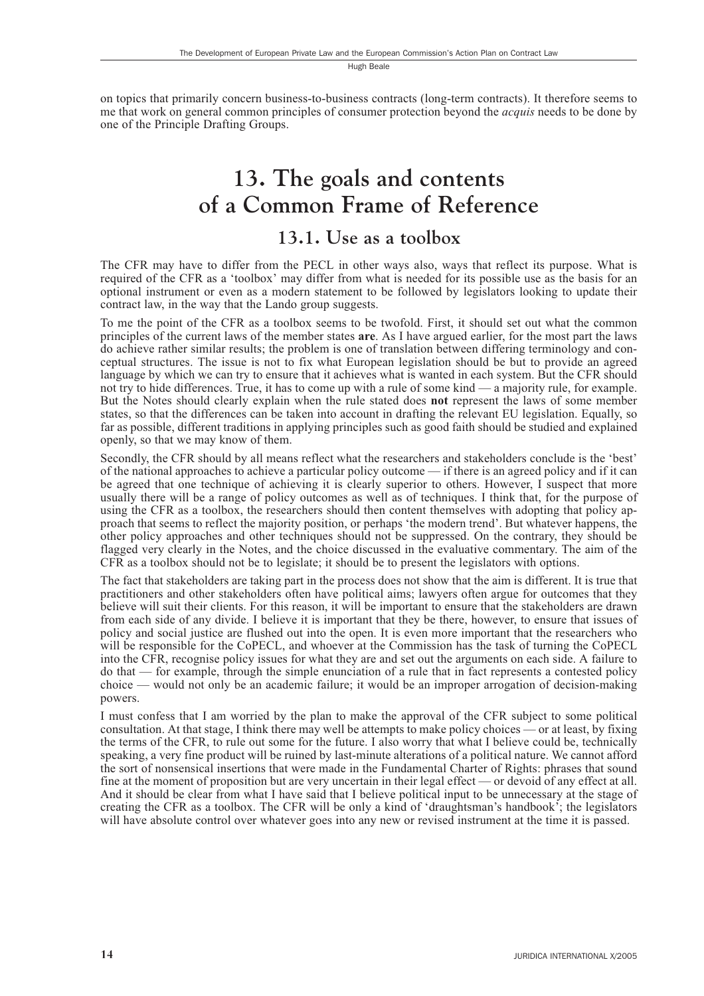on topics that primarily concern business-to-business contracts (long-term contracts). It therefore seems to me that work on general common principles of consumer protection beyond the *acquis* needs to be done by one of the Principle Drafting Groups.

#### 13. The goals and contents of a Common Frame of Reference

#### 13.1. Use as a toolbox

The CFR may have to differ from the PECL in other ways also, ways that reflect its purpose. What is required of the CFR as a 'toolbox' may differ from what is needed for its possible use as the basis for an optional instrument or even as a modern statement to be followed by legislators looking to update their contract law, in the way that the Lando group suggests.

To me the point of the CFR as a toolbox seems to be twofold. First, it should set out what the common principles of the current laws of the member states are. As I have argued earlier, for the most part the laws do achieve rather similar results; the problem is one of translation between differing terminology and conceptual structures. The issue is not to fix what European legislation should be but to provide an agreed language by which we can try to ensure that it achieves what is wanted in each system. But the CFR should not try to hide differences. True, it has to come up with a rule of some kind — a majority rule, for example. But the Notes should clearly explain when the rule stated does not represent the laws of some member states, so that the differences can be taken into account in drafting the relevant EU legislation. Equally, so far as possible, different traditions in applying principles such as good faith should be studied and explained openly, so that we may know of them.

Secondly, the CFR should by all means reflect what the researchers and stakeholders conclude is the 'best' of the national approaches to achieve a particular policy outcome — if there is an agreed policy and if it can be agreed that one technique of achieving it is clearly superior to others. However, I suspect that more usually there will be a range of policy outcomes as well as of techniques. I think that, for the purpose of using the CFR as a toolbox, the researchers should then content themselves with adopting that policy approach that seems to reflect the majority position, or perhaps 'the modern trend'. But whatever happens, the other policy approaches and other techniques should not be suppressed. On the contrary, they should be flagged very clearly in the Notes, and the choice discussed in the evaluative commentary. The aim of the CFR as a toolbox should not be to legislate; it should be to present the legislators with options.

The fact that stakeholders are taking part in the process does not show that the aim is different. It is true that practitioners and other stakeholders often have political aims; lawyers often argue for outcomes that they believe will suit their clients. For this reason, it will be important to ensure that the stakeholders are drawn from each side of any divide. I believe it is important that they be there, however, to ensure that issues of policy and social justice are flushed out into the open. It is even more important that the researchers who will be responsible for the CoPECL, and whoever at the Commission has the task of turning the CoPECL into the CFR, recognise policy issues for what they are and set out the arguments on each side. A failure to  $\alpha$  do that — for example, through the simple enunciation of a rule that in fact represents a contested policy  $choice$  — would not only be an academic failure; it would be an improper arrogation of decision-making powers.

I must confess that I am worried by the plan to make the approval of the CFR subject to some political consultation. At that stage, I think there may well be attempts to make policy choices — or at least, by fixing the terms of the CFR, to rule out some for the future. I also worry that what I believe could be, technically speaking, a very fine product will be ruined by last-minute alterations of a political nature. We cannot afford the sort of nonsensical insertions that were made in the Fundamental Charter of Rights: phrases that sound fine at the moment of proposition but are very uncertain in their legal effect — or devoid of any effect at all. And it should be clear from what I have said that I believe political input to be unnecessary at the stage of creating the CFR as a toolbox. The CFR will be only a kind of 'draughtsman's handbook'; the legislators will have absolute control over whatever goes into any new or revised instrument at the time it is passed.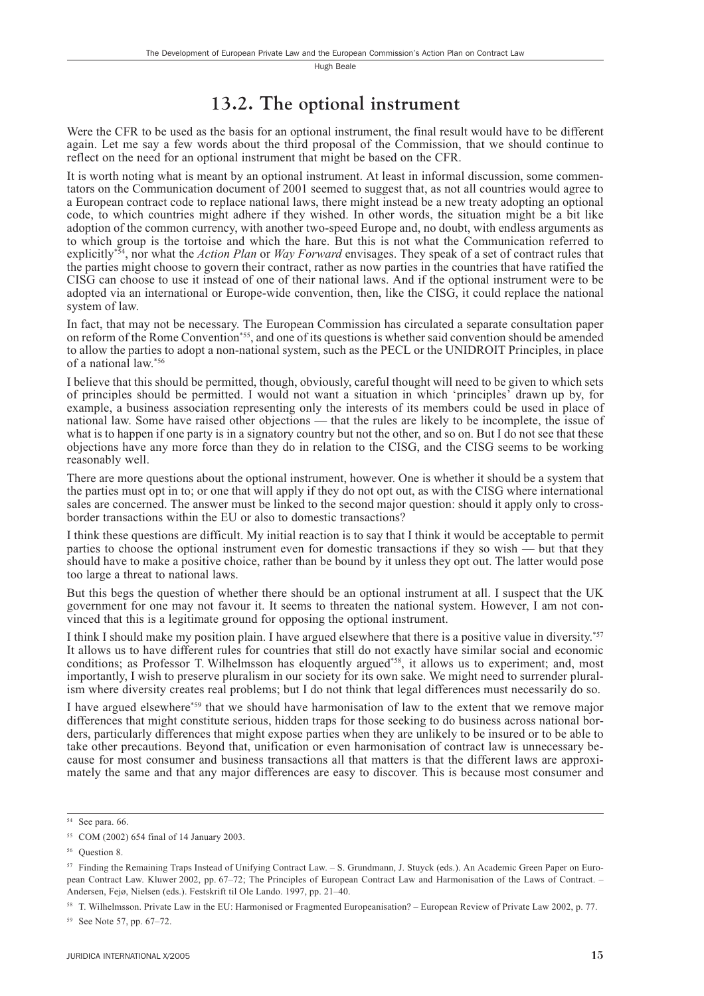#### 13.2. The optional instrument

Were the CFR to be used as the basis for an optional instrument, the final result would have to be different again. Let me say a few words about the third proposal of the Commission, that we should continue to reflect on the need for an optional instrument that might be based on the CFR.

It is worth noting what is meant by an optional instrument. At least in informal discussion, some commentators on the Communication document of 2001 seemed to suggest that, as not all countries would agree to a European contract code to replace national laws, there might instead be a new treaty adopting an optional code, to which countries might adhere if they wished. In other words, the situation might be a bit like adoption of the common currency, with another two-speed Europe and, no doubt, with endless arguments as to which group is the tortoise and which the hare. But this is not what the Communication referred to explicitly<sup>\*54</sup>, nor what the *Action Plan* or *Way Forward* envisages. They speak of a set of contract rules that the parties might choose to govern their contract, rather as now parties in the countries that have ratified the CISG can choose to use it instead of one of their national laws. And if the optional instrument were to be adopted via an international or Europe-wide convention, then, like the CISG, it could replace the national system of law.

In fact, that may not be necessary. The European Commission has circulated a separate consultation paper on reform of the Rome Convention<sup>\*55</sup>, and one of its questions is whether said convention should be amended to allow the parties to adopt a non-national system, such as the PECL or the UNIDROIT Principles, in place of a national law.\*56

I believe that this should be permitted, though, obviously, careful thought will need to be given to which sets of principles should be permitted. I would not want a situation in which 'principles' drawn up by, for example, a business association representing only the interests of its members could be used in place of national law. Some have raised other objections — that the rules are likely to be incomplete, the issue of what is to happen if one party is in a signatory country but not the other, and so on. But I do not see that these objections have any more force than they do in relation to the CISG, and the CISG seems to be working reasonably well.

There are more questions about the optional instrument, however. One is whether it should be a system that the parties must opt in to; or one that will apply if they do not opt out, as with the CISG where international sales are concerned. The answer must be linked to the second major question: should it apply only to crossborder transactions within the EU or also to domestic transactions?

I think these questions are difficult. My initial reaction is to say that I think it would be acceptable to permit parties to choose the optional instrument even for domestic transactions if they so wish — but that they should have to make a positive choice, rather than be bound by it unless they opt out. The latter would pose too large a threat to national laws.

But this begs the question of whether there should be an optional instrument at all. I suspect that the UK government for one may not favour it. It seems to threaten the national system. However, I am not convinced that this is a legitimate ground for opposing the optional instrument.

I think I should make my position plain. I have argued elsewhere that there is a positive value in diversity.<sup>\*57</sup> It allows us to have different rules for countries that still do not exactly have similar social and economic conditions; as Professor T. Wilhelmsson has eloquently argued\*58, it allows us to experiment; and, most importantly, I wish to preserve pluralism in our society for its own sake. We might need to surrender pluralism where diversity creates real problems; but I do not think that legal differences must necessarily do so.

I have argued elsewhere\*<sup>59</sup> that we should have harmonisation of law to the extent that we remove major differences that might constitute serious, hidden traps for those seeking to do business across national borders, particularly differences that might expose parties when they are unlikely to be insured or to be able to take other precautions. Beyond that, unification or even harmonisation of contract law is unnecessary because for most consumer and business transactions all that matters is that the different laws are approximately the same and that any major differences are easy to discover. This is because most consumer and

 $54$  See para. 66.

<sup>&</sup>lt;sup>55</sup> COM (2002) 654 final of 14 January 2003.

<sup>&</sup>lt;sup>56</sup> Question 8.

<sup>&</sup>lt;sup>57</sup> Finding the Remaining Traps Instead of Unifying Contract Law. - S. Grundmann, J. Stuyck (eds.). An Academic Green Paper on European Contract Law. Kluwer 2002, pp. 67-72; The Principles of European Contract Law and Harmonisation of the Laws of Contract. -Andersen, Fejø, Nielsen (eds.). Festskrift til Ole Lando. 1997, pp. 21-40.

<sup>&</sup>lt;sup>58</sup> T. Wilhelmsson. Private Law in the EU: Harmonised or Fragmented Europeanisation? – European Review of Private Law 2002, p. 77.

<sup>&</sup>lt;sup>59</sup> See Note 57, pp. 67-72.